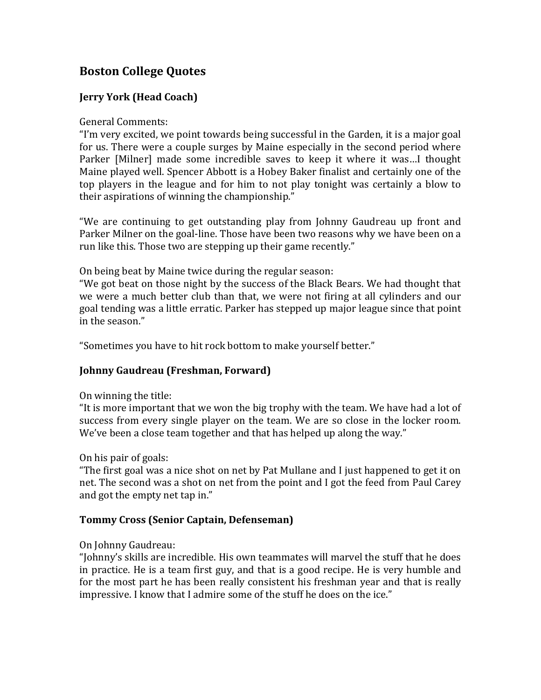# **Boston College Quotes**

# **Jerry York (Head Coach)**

### General Comments:

"I'm very excited, we point towards being successful in the Garden, it is a major goal for us. There were a couple surges by Maine especially in the second period where Parker [Milner] made some incredible saves to keep it where it was…I thought Maine played well. Spencer Abbott is a Hobey Baker finalist and certainly one of the top players in the league and for him to not play tonight was certainly a blow to their aspirations of winning the championship."

"We are continuing to get outstanding play from Johnny Gaudreau up front and Parker Milner on the goal-line. Those have been two reasons why we have been on a run like this. Those two are stepping up their game recently."

On being beat by Maine twice during the regular season:

"We got beat on those night by the success of the Black Bears. We had thought that we were a much better club than that, we were not firing at all cylinders and our goal tending was a little erratic. Parker has stepped up major league since that point in the season."

"Sometimes you have to hit rock bottom to make yourself better."

# **Johnny Gaudreau (Freshman, Forward)**

### On winning the title:

"It is more important that we won the big trophy with the team. We have had a lot of success from every single player on the team. We are so close in the locker room. We've been a close team together and that has helped up along the way."

### On his pair of goals:

"The first goal was a nice shot on net by Pat Mullane and I just happened to get it on net. The second was a shot on net from the point and I got the feed from Paul Carey and got the empty net tap in."

# **Tommy Cross (Senior Captain, Defenseman)**

### On Johnny Gaudreau:

"Johnny's skills are incredible. His own teammates will marvel the stuff that he does in practice. He is a team first guy, and that is a good recipe. He is very humble and for the most part he has been really consistent his freshman year and that is really impressive. I know that I admire some of the stuff he does on the ice."